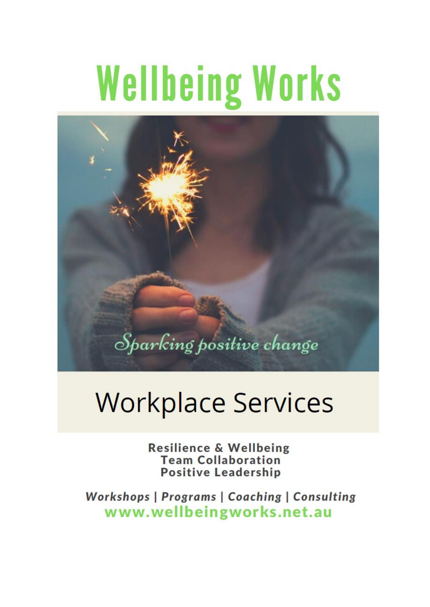# **Wellbeing Works**



## **Workplace Services**

**Resilience & Wellbeing Team Collaboration Positive Leadership** 

Workshops | Programs | Coaching | Consulting www.wellbeingworks.net.au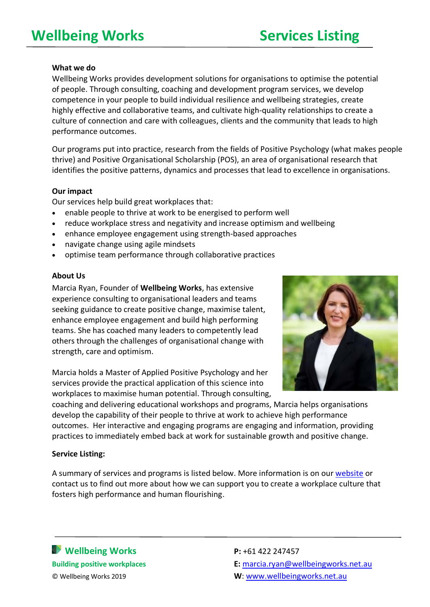#### **What we do**

Wellbeing Works provides development solutions for organisations to optimise the potential of people. Through consulting, coaching and development program services, we develop competence in your people to build individual resilience and wellbeing strategies, create highly effective and collaborative teams, and cultivate high-quality relationships to create a culture of connection and care with colleagues, clients and the community that leads to high performance outcomes.

Our programs put into practice, research from the fields of Positive Psychology (what makes people thrive) and Positive Organisational Scholarship (POS), an area of organisational research that identifies the positive patterns, dynamics and processes that lead to excellence in organisations.

#### **Our impact**

Our services help build great workplaces that:

- enable people to thrive at work to be energised to perform well
- reduce workplace stress and negativity and increase optimism and wellbeing
- enhance employee engagement using strength-based approaches
- navigate change using agile mindsets
- optimise team performance through collaborative practices

#### **About Us**

Marcia Ryan, Founder of **[Wellbeing Works](http://www.wellbeingworks.net.au/)**, has extensive experience consulting to organisational leaders and teams seeking guidance to create positive change, maximise talent, enhance employee engagement and build high performing teams. She has coached many leaders to competently lead others through the challenges of organisational change with strength, care and optimism.

Marcia holds a Master of Applied Positive Psychology and her services provide the practical application of this science into workplaces to maximise human potential. Through consulting,



coaching and delivering educational workshops and programs, Marcia helps organisations develop the capability of their people to thrive at work to achieve high performance outcomes. Her interactive and engaging programs are engaging and information, providing practices to immediately embed back at work for sustainable growth and positive change.

#### **Service Listing:**

A summary of services and programs is listed below. More information is on our [website](https://www.wellbeingworks.net.au/) or contact us to find out more about how we can support you to create a workplace culture that fosters high performance and human flourishing.

**Wellbeing Works P:** +61 422 247457

**Building positive workplaces E:** [marcia.ryan@wellbeingworks.net.au](mailto:marcia.ryan@wellbeingworks.net.au) © Wellbeing Works 2019 **W**: [www.wellbeingworks.net.au](http://www.wellbeingworks.net.au/)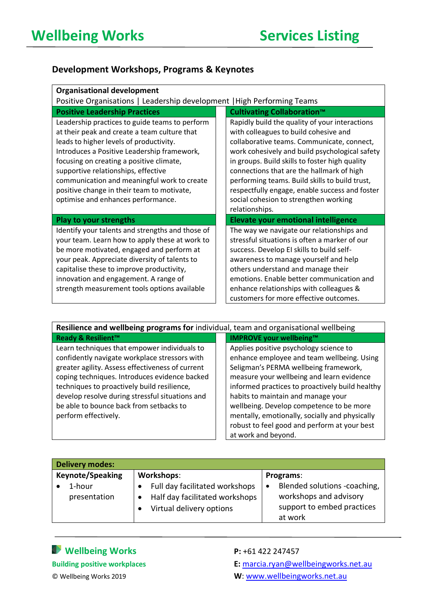#### **Development Workshops, Programs & Keynotes**

| <b>Organisational development</b>                                                                                                                                                                                                                                                                                                                                                                              |                                                                                                                                                                                                                                                                                                                                                                                                                                                       |  |  |
|----------------------------------------------------------------------------------------------------------------------------------------------------------------------------------------------------------------------------------------------------------------------------------------------------------------------------------------------------------------------------------------------------------------|-------------------------------------------------------------------------------------------------------------------------------------------------------------------------------------------------------------------------------------------------------------------------------------------------------------------------------------------------------------------------------------------------------------------------------------------------------|--|--|
| Positive Organisations   Leadership development   High Performing Teams                                                                                                                                                                                                                                                                                                                                        |                                                                                                                                                                                                                                                                                                                                                                                                                                                       |  |  |
| <b>Positive Leadership Practices</b>                                                                                                                                                                                                                                                                                                                                                                           | <b>Cultivating Collaboration™</b>                                                                                                                                                                                                                                                                                                                                                                                                                     |  |  |
| Leadership practices to guide teams to perform<br>at their peak and create a team culture that<br>leads to higher levels of productivity.<br>Introduces a Positive Leadership framework,<br>focusing on creating a positive climate,<br>supportive relationships, effective<br>communication and meaningful work to create<br>positive change in their team to motivate,<br>optimise and enhances performance. | Rapidly build the quality of your interactions<br>with colleagues to build cohesive and<br>collaborative teams. Communicate, connect,<br>work cohesively and build psychological safety<br>in groups. Build skills to foster high quality<br>connections that are the hallmark of high<br>performing teams. Build skills to build trust,<br>respectfully engage, enable success and foster<br>social cohesion to strengthen working<br>relationships. |  |  |
| <b>Play to your strengths</b>                                                                                                                                                                                                                                                                                                                                                                                  | <b>Elevate your emotional intelligence</b>                                                                                                                                                                                                                                                                                                                                                                                                            |  |  |
| Identify your talents and strengths and those of<br>your team. Learn how to apply these at work to<br>be more motivated, engaged and perform at<br>your peak. Appreciate diversity of talents to<br>capitalise these to improve productivity,<br>innovation and engagement. A range of<br>strength measurement tools options available                                                                         | The way we navigate our relationships and<br>stressful situations is often a marker of our<br>success. Develop EI skills to build self-<br>awareness to manage yourself and help<br>others understand and manage their<br>emotions. Enable better communication and<br>enhance relationships with colleagues &<br>customers for more effective outcomes.                                                                                              |  |  |

| Resilience and wellbeing programs for individual, team and organisational wellbeing                                                                                                                                                                                                                                                                                     |                                                                                                                                                                                                                                                                                                                                                                                                                                          |  |
|-------------------------------------------------------------------------------------------------------------------------------------------------------------------------------------------------------------------------------------------------------------------------------------------------------------------------------------------------------------------------|------------------------------------------------------------------------------------------------------------------------------------------------------------------------------------------------------------------------------------------------------------------------------------------------------------------------------------------------------------------------------------------------------------------------------------------|--|
| <b>Ready &amp; Resilient™</b>                                                                                                                                                                                                                                                                                                                                           | <b>IMPROVE your wellbeing™</b>                                                                                                                                                                                                                                                                                                                                                                                                           |  |
| Learn techniques that empower individuals to<br>confidently navigate workplace stressors with<br>greater agility. Assess effectiveness of current<br>coping techniques. Introduces evidence backed<br>techniques to proactively build resilience,<br>develop resolve during stressful situations and<br>be able to bounce back from setbacks to<br>perform effectively. | Applies positive psychology science to<br>enhance employee and team wellbeing. Using<br>Seligman's PERMA wellbeing framework,<br>measure your wellbeing and learn evidence<br>informed practices to proactively build healthy<br>habits to maintain and manage your<br>wellbeing. Develop competence to be more<br>mentally, emotionally, socially and physically<br>robust to feel good and perform at your best<br>at work and beyond. |  |

| <b>Delivery modes:</b>                                                                                     |                                                                                                                           |  |  |  |
|------------------------------------------------------------------------------------------------------------|---------------------------------------------------------------------------------------------------------------------------|--|--|--|
| Workshops:<br>Full day facilitated workshops<br>Half day facilitated workshops<br>Virtual delivery options | Programs:<br>Blended solutions -coaching,<br>$\bullet$<br>workshops and advisory<br>support to embed practices<br>at work |  |  |  |
|                                                                                                            |                                                                                                                           |  |  |  |

### **Wellbeing Works P:** +61 422 247457

**Building positive workplaces E:** [marcia.ryan@wellbeingworks.net.au](mailto:marcia.ryan@wellbeingworks.net.au) © Wellbeing Works 2019 **W**: [www.wellbeingworks.net.au](http://www.wellbeingworks.net.au/)